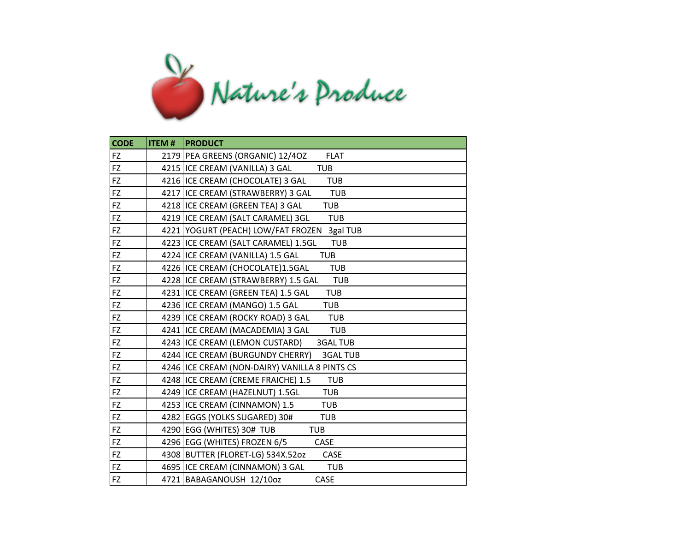

| <b>CODE</b> | <b>ITEM#</b> | <b>PRODUCT</b>                                      |
|-------------|--------------|-----------------------------------------------------|
| FZ          |              | 2179 PEA GREENS (ORGANIC) 12/40Z<br><b>FLAT</b>     |
| FZ          |              | 4215   ICE CREAM (VANILLA) 3 GAL<br><b>TUB</b>      |
| <b>FZ</b>   |              | 4216 ICE CREAM (CHOCOLATE) 3 GAL<br><b>TUB</b>      |
| FZ.         |              | 4217 ICE CREAM (STRAWBERRY) 3 GAL<br>TUB            |
| <b>FZ</b>   |              | 4218 ICE CREAM (GREEN TEA) 3 GAL<br><b>TUB</b>      |
| FZ          |              | 4219 ICE CREAM (SALT CARAMEL) 3GL<br><b>TUB</b>     |
| FZ          |              | 4221 YOGURT (PEACH) LOW/FAT FROZEN 3gal TUB         |
| FZ          |              | 4223 ICE CREAM (SALT CARAMEL) 1.5GL<br><b>TUB</b>   |
| FZ          |              | 4224 ICE CREAM (VANILLA) 1.5 GAL<br><b>TUB</b>      |
| FZ          |              | 4226 ICE CREAM (CHOCOLATE)1.5GAL<br><b>TUB</b>      |
| FZ          |              | 4228 ICE CREAM (STRAWBERRY) 1.5 GAL<br><b>TUB</b>   |
| FZ          |              | 4231 ICE CREAM (GREEN TEA) 1.5 GAL<br><b>TUB</b>    |
| FZ          |              | 4236 ICE CREAM (MANGO) 1.5 GAL<br>TUB               |
| FZ          |              | 4239 ICE CREAM (ROCKY ROAD) 3 GAL<br><b>TUB</b>     |
| FZ          |              | 4241   ICE CREAM (MACADEMIA) 3 GAL<br><b>TUB</b>    |
| FZ          |              | 4243   ICE CREAM (LEMON CUSTARD)<br><b>3GAL TUB</b> |
| FZ          |              | 4244 ICE CREAM (BURGUNDY CHERRY)<br><b>3GAL TUB</b> |
| FZ          |              | 4246 ICE CREAM (NON-DAIRY) VANILLA 8 PINTS CS       |
| FZ.         |              | 4248 ICE CREAM (CREME FRAICHE) 1.5<br><b>TUB</b>    |
| <b>FZ</b>   |              | 4249 ICE CREAM (HAZELNUT) 1.5GL<br>TUB              |
| FZ          |              | 4253 ICE CREAM (CINNAMON) 1.5<br><b>TUB</b>         |
| FZ          |              | 4282   EGGS (YOLKS SUGARED) 30#<br><b>TUB</b>       |
| FZ          |              | 4290 EGG (WHITES) 30# TUB<br>TUB                    |
| FZ          |              | 4296 EGG (WHITES) FROZEN 6/5<br><b>CASE</b>         |
| <b>FZ</b>   |              | 4308 BUTTER (FLORET-LG) 534X.52oz<br>CASE           |
| FZ          |              | 4695   ICE CREAM (CINNAMON) 3 GAL<br><b>TUB</b>     |
| FZ          |              | 4721 BABAGANOUSH 12/10oz<br>CASE                    |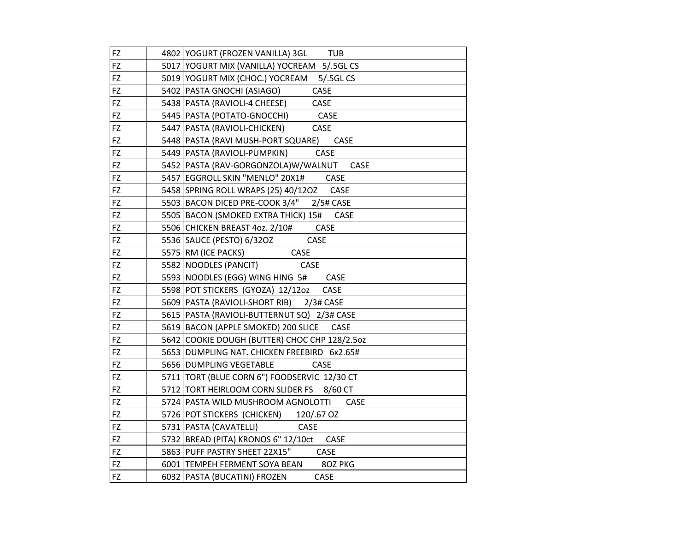| FZ        | 4802 YOGURT (FROZEN VANILLA) 3GL TUB               |
|-----------|----------------------------------------------------|
| FZ        | 5017 YOGURT MIX (VANILLA) YOCREAM 5/.5GL CS        |
| FZ        | 5019 YOGURT MIX (CHOC.) YOCREAM 5/.5GL CS          |
| FZ        | 5402 PASTA GNOCHI (ASIAGO)<br><b>CASE</b>          |
| FZ        | 5438   PASTA (RAVIOLI-4 CHEESE)<br>CASE            |
| FZ        | <b>CASE</b><br>5445   PASTA (POTATO-GNOCCHI)       |
| FZ        | CASE<br>5447   PASTA (RAVIOLI-CHICKEN)             |
| FZ        | 5448   PASTA (RAVI MUSH-PORT SQUARE) CASE          |
| FZ        | CASE<br>5449   PASTA (RAVIOLI-PUMPKIN)             |
| FZ        | 5452 PASTA (RAV-GORGONZOLA)W/WALNUT<br>CASE        |
| FZ        | 5457 EGGROLL SKIN "MENLO" 20X1#<br>CASE            |
| FZ        | 5458 SPRING ROLL WRAPS (25) 40/120Z CASE           |
| FZ        | 5503 BACON DICED PRE-COOK 3/4" 2/5# CASE           |
| FZ        | 5505 BACON (SMOKED EXTRA THICK) 15#<br><b>CASE</b> |
| FZ        | 5506 CHICKEN BREAST 4oz. 2/10# CASE                |
| FZ        | 5536 SAUCE (PESTO) 6/320Z<br>CASE                  |
| FZ        | 5575 RM (ICE PACKS)<br>CASE                        |
| FZ        | 5582 NOODLES (PANCIT)<br>CASE                      |
| FZ        | 5593 NOODLES (EGG) WING HING 5# CASE               |
| FZ        | 5598 POT STICKERS (GYOZA) 12/12oz<br>CASE          |
| <b>FZ</b> | 5609   PASTA (RAVIOLI-SHORT RIB) 2/3# CASE         |
| FZ        | 5615 PASTA (RAVIOLI-BUTTERNUT SQ) 2/3# CASE        |
| FZ        | 5619 BACON (APPLE SMOKED) 200 SLICE CASE           |
| FZ        | 5642 COOKIE DOUGH (BUTTER) CHOC CHP 128/2.5oz      |
| FZ        | 5653 DUMPLING NAT. CHICKEN FREEBIRD 6x2.65#        |
| FZ        | 5656 DUMPLING VEGETABLE<br>CASE                    |
| FZ        | 5711 TORT (BLUE CORN 6") FOODSERVIC 12/30 CT       |
| FZ        | 5712 TORT HEIRLOOM CORN SLIDER FS 8/60 CT          |
| FZ        | 5724 PASTA WILD MUSHROOM AGNOLOTTI<br><b>CASE</b>  |
| FZ        | 5726 POT STICKERS (CHICKEN) 120/.67 OZ             |
| FZ        | 5731   PASTA (CAVATELLI)<br>CASE                   |
| FZ        | 5732   BREAD (PITA) KRONOS 6" 12/10ct<br>CASE      |
| FZ        | 5863 PUFF PASTRY SHEET 22X15" CASE                 |
| FZ        | 6001 TEMPEH FERMENT SOYA BEAN 80Z PKG              |
| FZ        | 6032   PASTA (BUCATINI) FROZEN<br>CASE             |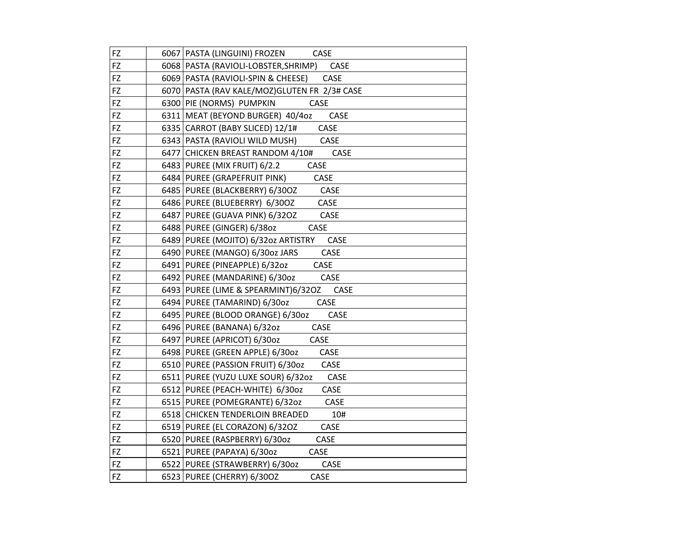| FZ | 6067   PASTA (LINGUINI) FROZEN<br><b>CASE</b>  |
|----|------------------------------------------------|
| FZ | 6068   PASTA (RAVIOLI-LOBSTER, SHRIMP)<br>CASE |
| FZ | 6069   PASTA (RAVIOLI-SPIN & CHEESE)<br>CASE   |
| FZ | 6070 PASTA (RAV KALE/MOZ) GLUTEN FR 2/3# CASE  |
| FZ | 6300 PIE (NORMS) PUMPKIN<br>CASE               |
| FZ | 6311 MEAT (BEYOND BURGER) 40/40z<br>CASE       |
| FZ | 6335 CARROT (BABY SLICED) 12/1#<br>CASE        |
| FZ | CASE<br>6343   PASTA (RAVIOLI WILD MUSH)       |
| FZ | 6477 CHICKEN BREAST RANDOM 4/10#<br>CASE       |
| FZ | 6483 PUREE (MIX FRUIT) 6/2.2<br>CASE           |
| FZ | 6484 PUREE (GRAPEFRUIT PINK)<br>CASE           |
| FZ | 6485 PUREE (BLACKBERRY) 6/300Z<br>CASE         |
| FZ | 6486 PUREE (BLUEBERRY) 6/300Z<br>CASE          |
| FZ | 6487 PUREE (GUAVA PINK) 6/320Z<br>CASE         |
| FZ | 6488 PUREE (GINGER) 6/380z<br>CASE             |
| FZ | 6489 PUREE (MOJITO) 6/32oz ARTISTRY<br>CASE    |
| FZ | 6490 PUREE (MANGO) 6/30oz JARS<br>CASE         |
| FZ | 6491 PUREE (PINEAPPLE) 6/32oz<br>CASE          |
| FZ | 6492 PUREE (MANDARINE) 6/30oz<br>CASE          |
| FZ | 6493 PUREE (LIME & SPEARMINT)6/32OZ<br>CASE    |
| FZ | CASE<br>6494 PUREE (TAMARIND) 6/30oz           |
| FZ | 6495 PUREE (BLOOD ORANGE) 6/30oz<br>CASE       |
| FZ | 6496 PUREE (BANANA) 6/32oz<br>CASE             |
| FZ | 6497   PUREE (APRICOT) 6/30oz<br>CASE          |
| FZ | 6498 PUREE (GREEN APPLE) 6/30oz<br>CASE        |
| FZ | 6510 PUREE (PASSION FRUIT) 6/30oz<br>CASE      |
| FZ | 6511 PUREE (YUZU LUXE SOUR) 6/32oz<br>CASE     |
| FZ | 6512 PUREE (PEACH-WHITE) 6/30oz<br>CASE        |
| FZ | 6515 PUREE (POMEGRANTE) 6/32oz<br>CASE         |
| FZ | 6518 CHICKEN TENDERLOIN BREADED<br>10#         |
| FZ | CASE<br>6519 PUREE (EL CORAZON) 6/320Z         |
| FZ | 6520 PUREE (RASPBERRY) 6/30oz<br>CASE          |
| FZ | 6521 PUREE (PAPAYA) 6/30oz<br>CASE             |
| FZ | 6522 PUREE (STRAWBERRY) 6/30oz<br>CASE         |
| FZ | 6523   PUREE (CHERRY) 6/300Z<br>CASE           |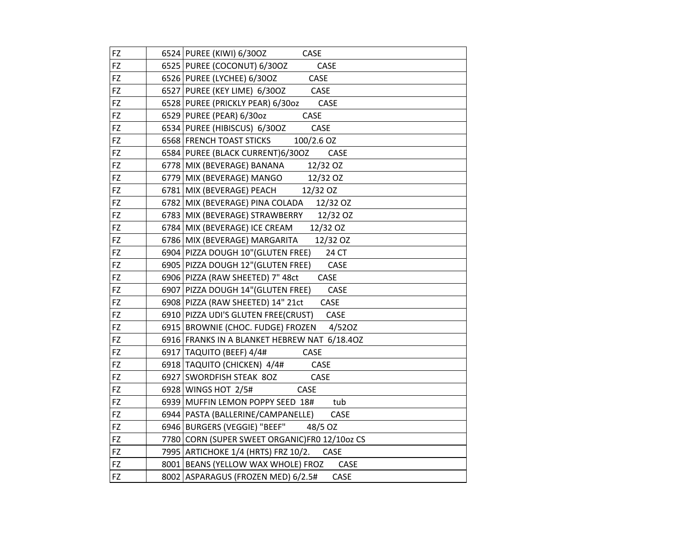| FZ        | 6524 PUREE (KIWI) 6/300Z<br>CASE                  |
|-----------|---------------------------------------------------|
| FZ        | 6525 PUREE (COCONUT) 6/30OZ<br>CASE               |
| FZ        | 6526 PUREE (LYCHEE) 6/300Z<br>CASE                |
| FZ        | 6527 PUREE (KEY LIME) 6/300Z<br>CASE              |
| FZ        | 6528 PUREE (PRICKLY PEAR) 6/30oz CASE             |
| FZ        | CASE<br>6529 PUREE (PEAR) 6/30oz                  |
| FZ        | CASE<br>6534 PUREE (HIBISCUS) 6/300Z              |
| FZ        | 6568 FRENCH TOAST STICKS<br>100/2.6 OZ            |
| FZ        | 6584 PUREE (BLACK CURRENT)6/30OZ<br>CASE          |
| FZ        | 6778 MIX (BEVERAGE) BANANA 12/32 OZ               |
| FZ        | 6779 MIX (BEVERAGE) MANGO<br>12/32 OZ             |
| FZ        | 6781 MIX (BEVERAGE) PEACH<br>12/32 OZ             |
| FZ        | 6782 MIX (BEVERAGE) PINA COLADA 12/32 OZ          |
| FZ        | 6783 MIX (BEVERAGE) STRAWBERRY 12/32 OZ           |
| FZ        | 6784 MIX (BEVERAGE) ICE CREAM<br>12/32 OZ         |
| FZ        | 6786   MIX (BEVERAGE) MARGARITA<br>12/32 OZ       |
| FZ        | 6904 PIZZA DOUGH 10" (GLUTEN FREE)<br>24 CT       |
| FZ        | 6905 PIZZA DOUGH 12" (GLUTEN FREE)<br>CASE        |
| FZ        | 6906 PIZZA (RAW SHEETED) 7" 48ct<br>CASE          |
| FZ        | 6907 PIZZA DOUGH 14" (GLUTEN FREE)<br>CASE        |
| FZ        | CASE<br>6908   PIZZA (RAW SHEETED) 14" 21ct       |
| FZ        | 6910 PIZZA UDI'S GLUTEN FREE(CRUST) CASE          |
| FZ        | 6915 BROWNIE (CHOC. FUDGE) FROZEN 4/520Z          |
| FZ        | 6916 FRANKS IN A BLANKET HEBREW NAT 6/18.40Z      |
| FZ        | 6917 TAQUITO (BEEF) 4/4#<br>CASE                  |
| FZ        | 6918 TAQUITO (CHICKEN) 4/4#<br>CASE               |
| FZ        | 6927 SWORDFISH STEAK 8OZ<br>CASE                  |
| FZ        | 6928 WINGS HOT 2/5#<br>CASE                       |
| FZ        | 6939 MUFFIN LEMON POPPY SEED 18#<br>tub           |
| FZ        | 6944   PASTA (BALLERINE/CAMPANELLE)<br>CASE       |
| <b>FZ</b> | 6946 BURGERS (VEGGIE) "BEEF" 48/5 OZ              |
| FZ        | 7780 CORN (SUPER SWEET ORGANIC)FR0 12/10oz CS     |
| FZ        | 7995 ARTICHOKE 1/4 (HRTS) FRZ 10/2.<br>CASE       |
| FZ        | 8001 BEANS (YELLOW WAX WHOLE) FROZ<br>CASE        |
| FZ        | 8002 ASPARAGUS (FROZEN MED) 6/2.5#<br><b>CASE</b> |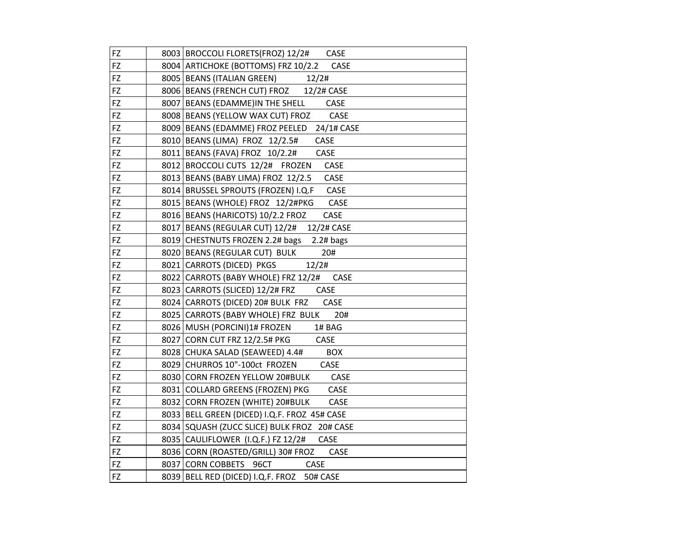| FZ | 8003   BROCCOLI FLORETS (FROZ) 12/2# CASE     |
|----|-----------------------------------------------|
| FZ | 8004 ARTICHOKE (BOTTOMS) FRZ 10/2.2<br>CASE   |
| FZ | 8005   BEANS (ITALIAN GREEN)<br>12/2#         |
| FZ | 8006 BEANS (FRENCH CUT) FROZ 12/2# CASE       |
| FZ | 8007 BEANS (EDAMME)IN THE SHELL<br>CASE       |
| FZ | CASE<br>8008 BEANS (YELLOW WAX CUT) FROZ      |
| FZ | 8009 BEANS (EDAMME) FROZ PEELED 24/1# CASE    |
| FZ | 8010 BEANS (LIMA) FROZ 12/2.5#<br>CASE        |
| FZ | CASE<br>8011   BEANS (FAVA) FROZ 10/2.2#      |
| FZ | 8012 BROCCOLI CUTS 12/2# FROZEN<br>CASE       |
| FZ | 8013 BEANS (BABY LIMA) FROZ 12/2.5<br>CASE    |
| FZ | 8014 BRUSSEL SPROUTS (FROZEN) I.Q.F<br>CASE   |
| FZ | 8015   BEANS (WHOLE) FROZ 12/2#PKG<br>CASE    |
| FZ | 8016 BEANS (HARICOTS) 10/2.2 FROZ<br>CASE     |
| FZ | 8017 BEANS (REGULAR CUT) 12/2# 12/2# CASE     |
| FZ | 8019 CHESTNUTS FROZEN 2.2# bags 2.2# bags     |
| FZ | 8020 BEANS (REGULAR CUT) BULK<br>20#          |
| FZ | 8021 CARROTS (DICED) PKGS<br>12/2#            |
| FZ | 8022 CARROTS (BABY WHOLE) FRZ 12/2#<br>CASE   |
| FZ | CASE<br>8023 CARROTS (SLICED) 12/2# FRZ       |
| FZ | 8024 CARROTS (DICED) 20# BULK FRZ<br>CASE     |
| FZ | 8025 CARROTS (BABY WHOLE) FRZ BULK<br>20#     |
| FZ | 8026 MUSH (PORCINI) 1# FROZEN<br>1# BAG       |
| FZ | 8027 CORN CUT FRZ 12/2.5# PKG<br>CASE         |
| FZ | 8028 CHUKA SALAD (SEAWEED) 4.4#<br><b>BOX</b> |
| FZ | 8029 CHURROS 10"-100ct FROZEN<br>CASE         |
| FZ | CASE<br>8030 CORN FROZEN YELLOW 20#BULK       |
| FZ | 8031 COLLARD GREENS (FROZEN) PKG<br>CASE      |
| FZ | 8032 CORN FROZEN (WHITE) 20#BULK<br>CASE      |
| FZ | 8033 BELL GREEN (DICED) I.Q.F. FROZ 45# CASE  |
| FZ | 8034 SQUASH (ZUCC SLICE) BULK FROZ 20# CASE   |
| FZ | CASE<br>8035 CAULIFLOWER (I.Q.F.) FZ 12/2#    |
| FZ | 8036 CORN (ROASTED/GRILL) 30# FROZ<br>CASE    |
| FZ | 8037 CORN COBBETS 96CT CASE                   |
| FZ | 8039 BELL RED (DICED) I.Q.F. FROZ 50# CASE    |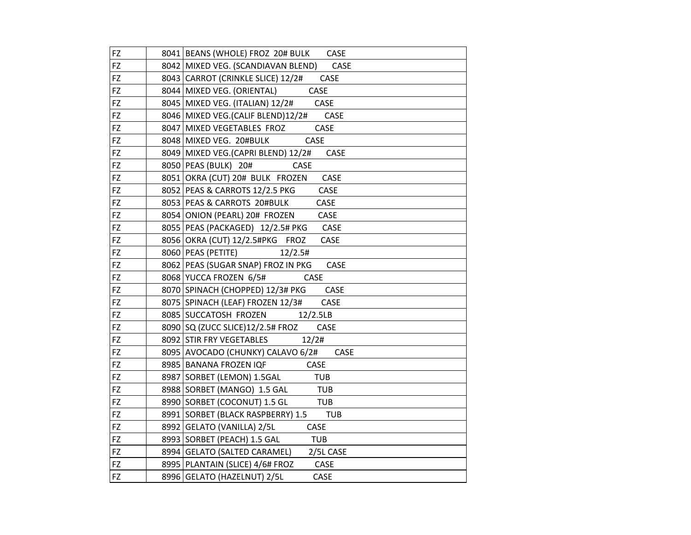| <b>FZ</b>  | 8041   BEANS (WHOLE) FROZ 20# BULK CASE        |
|------------|------------------------------------------------|
| FZ         | 8042 MIXED VEG. (SCANDIAVAN BLEND)<br>CASE     |
| FZ         | 8043 CARROT (CRINKLE SLICE) 12/2#<br>CASE      |
| FZ         | 8044 MIXED VEG. (ORIENTAL) CASE                |
| FZ         | 8045 MIXED VEG. (ITALIAN) 12/2# CASE           |
| FZ         | 8046 MIXED VEG. (CALIF BLEND) 12/2# CASE       |
| FZ         | CASE<br>8047 MIXED VEGETABLES FROZ             |
| FZ         | 8048 MIXED VEG. 20#BULK CASE                   |
| FZ         | 8049 MIXED VEG. (CAPRI BLEND) 12/2#<br>CASE    |
| FZ         | 8050   PEAS (BULK) 20#<br>CASE                 |
| FZ         | 8051 OKRA (CUT) 20# BULK FROZEN<br><b>CASE</b> |
| FZ         | 8052 PEAS & CARROTS 12/2.5 PKG<br>CASE         |
| FZ         | CASE<br>8053 PEAS & CARROTS 20#BULK            |
| FZ         | CASE<br>8054 ONION (PEARL) 20# FROZEN          |
| FZ         | 8055 PEAS (PACKAGED) 12/2.5# PKG CASE          |
| FZ         | 8056 OKRA (CUT) 12/2.5#PKG FROZ<br>CASE        |
| FZ         | 8060   PEAS (PETITE)<br>12/2.5#                |
| <b>FZ</b>  | 8062 PEAS (SUGAR SNAP) FROZ IN PKG<br>CASE     |
| FZ         | 8068 YUCCA FROZEN 6/5# CASE                    |
| FZ         | 8070 SPINACH (CHOPPED) 12/3# PKG CASE          |
| FZ         | 8075 SPINACH (LEAF) FROZEN 12/3#<br>CASE       |
| FZ         | 8085 SUCCATOSH FROZEN 12/2.5LB                 |
| FZ         | 8090 SQ (ZUCC SLICE) 12/2.5# FROZ CASE         |
| <b>FZ</b>  | 8092 STIR FRY VEGETABLES 12/2#                 |
| FZ         | 8095   AVOCADO (CHUNKY) CALAVO 6/2#<br>CASE    |
| FZ         | 8985 BANANA FROZEN IQF CASE                    |
| FZ         | 8987 SORBET (LEMON) 1.5GAL TUB                 |
| FZ         | 8988 SORBET (MANGO) 1.5 GAL TUB                |
| ${\sf FZ}$ | 8990 SORBET (COCONUT) 1.5 GL TUB               |
| FZ         | 8991 SORBET (BLACK RASPBERRY) 1.5 TUB          |
| FZ         | 8992 GELATO (VANILLA) 2/5L<br>CASE             |
| FZ         | 8993 SORBET (PEACH) 1.5 GAL<br><b>TUB</b>      |
| FZ         | 8994   GELATO (SALTED CARAMEL) 2/5L CASE       |
| FZ         | 8995   PLANTAIN (SLICE) 4/6# FROZ CASE         |
| FZ         | 8996 GELATO (HAZELNUT) 2/5L<br>CASE            |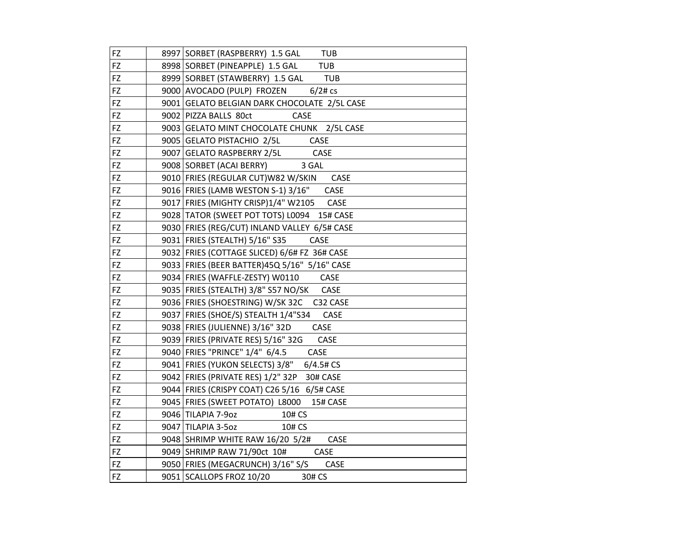| FZ        | 8997 SORBET (RASPBERRY) 1.5 GAL<br>TUB         |
|-----------|------------------------------------------------|
| FZ        | 8998 SORBET (PINEAPPLE) 1.5 GAL<br><b>TUB</b>  |
| FZ        | 8999 SORBET (STAWBERRY) 1.5 GAL TUB            |
| FZ        | 9000 AVOCADO (PULP) FROZEN 6/2# cs             |
| FZ        | 9001 GELATO BELGIAN DARK CHOCOLATE 2/5L CASE   |
| FZ        | 9002 PIZZA BALLS 80ct<br>CASE                  |
| FZ        | 9003 GELATO MINT CHOCOLATE CHUNK 2/5L CASE     |
| FZ        | 9005 GELATO PISTACHIO 2/5L CASE                |
| FZ        | 9007 GELATO RASPBERRY 2/5L<br>CASE             |
| FZ        | 9008 SORBET (ACAI BERRY)<br>3 GAL              |
| FZ        | 9010 FRIES (REGULAR CUT) W82 W/SKIN<br>CASE    |
| FZ        | 9016 FRIES (LAMB WESTON S-1) 3/16"<br>CASE     |
| FZ        | 9017 FRIES (MIGHTY CRISP)1/4" W2105 CASE       |
| FZ        | 9028 TATOR (SWEET POT TOTS) L0094 15# CASE     |
| FZ        | 9030 FRIES (REG/CUT) INLAND VALLEY 6/5# CASE   |
| FZ        | 9031   FRIES (STEALTH) 5/16" S35<br>CASE       |
| FZ        | 9032   FRIES (COTTAGE SLICED) 6/6# FZ 36# CASE |
| <b>FZ</b> | 9033 FRIES (BEER BATTER) 45Q 5/16" 5/16" CASE  |
| FZ        | 9034 FRIES (WAFFLE-ZESTY) W0110 CASE           |
| FZ        | 9035   FRIES (STEALTH) 3/8" S57 NO/SK CASE     |
| FZ        | 9036 FRIES (SHOESTRING) W/SK 32C C32 CASE      |
| FZ        | CASE<br>9037   FRIES (SHOE/S) STEALTH 1/4"S34  |
| FZ        | 9038 FRIES (JULIENNE) 3/16" 32D<br>CASE        |
| FZ        | 9039   FRIES (PRIVATE RES) 5/16" 32G<br>CASE   |
| FZ        | 9040 FRIES "PRINCE" 1/4" 6/4.5<br>CASE         |
| FZ        | 9041   FRIES (YUKON SELECTS) 3/8" 6/4.5# CS    |
| FZ        | 9042   FRIES (PRIVATE RES) 1/2" 32P 30# CASE   |
| FZ        | 9044 FRIES (CRISPY COAT) C26 5/16 6/5# CASE    |
| FZ        | 9045   FRIES (SWEET POTATO) L8000 15# CASE     |
| FZ        | 9046 TILAPIA 7-9oz<br>10# CS                   |
| FZ        | 9047 TILAPIA 3-5oz<br>10# CS                   |
| FZ        | 9048 SHRIMP WHITE RAW 16/20 5/2#<br>CASE       |
| FZ        | 9049 SHRIMP RAW 71/90ct 10#<br>CASE            |
| FZ        | 9050 FRIES (MEGACRUNCH) 3/16" S/S<br>CASE      |
| FZ        | 9051 SCALLOPS FROZ 10/20<br>30# CS             |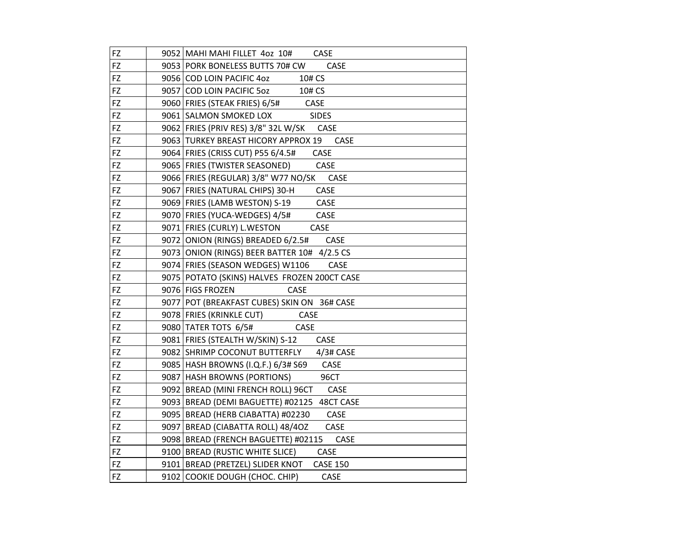| FZ        | 9052 MAHI MAHI FILLET 40Z 10# CASE                  |
|-----------|-----------------------------------------------------|
| FZ        | 9053 PORK BONELESS BUTTS 70# CW<br>CASE             |
| FZ        | 9056 COD LOIN PACIFIC 4oz<br>10# CS                 |
| FZ        | 9057 COD LOIN PACIFIC 5oz<br>10# CS                 |
| FZ        | <b>CASE</b><br>9060   FRIES (STEAK FRIES) 6/5#      |
| FZ        | 9061 SALMON SMOKED LOX SIDES                        |
| FZ        | 9062 FRIES (PRIV RES) 3/8" 32L W/SK CASE            |
| FZ        | 9063 TURKEY BREAST HICORY APPROX 19 CASE            |
| FZ        | 9064   FRIES (CRISS CUT) P55 6/4.5#<br>CASE         |
| FZ        | 9065   FRIES (TWISTER SEASONED)<br>CASE             |
| FZ        | 9066 FRIES (REGULAR) 3/8" W77 NO/SK<br>CASE         |
| FZ        | 9067 FRIES (NATURAL CHIPS) 30-H<br>CASE             |
| FZ        | 9069 FRIES (LAMB WESTON) S-19<br>CASE               |
| FZ        | 9070 FRIES (YUCA-WEDGES) 4/5#<br>CASE               |
| FZ        | 9071 FRIES (CURLY) L.WESTON<br>CASE                 |
| FZ        | 9072 ONION (RINGS) BREADED 6/2.5# CASE              |
| FZ        | 9073 ONION (RINGS) BEER BATTER 10# 4/2.5 CS         |
| FZ        | 9074 FRIES (SEASON WEDGES) W1106<br>CASE            |
| FZ        | 9075 POTATO (SKINS) HALVES FROZEN 200CT CASE        |
| <b>FZ</b> | CASE<br>9076 FIGS FROZEN                            |
| <b>FZ</b> | 9077 POT (BREAKFAST CUBES) SKIN ON 36# CASE         |
| FZ        | 9078 FRIES (KRINKLE CUT)<br><b>CASE</b>             |
| FZ        | 9080 TATER TOTS 6/5#<br><b>CASE</b>                 |
| <b>FZ</b> | 9081   FRIES (STEALTH W/SKIN) S-12<br>CASE          |
| FZ        | 9082 SHRIMP COCONUT BUTTERFLY 4/3# CASE             |
| FZ        | 9085   HASH BROWNS (I.Q.F.) 6/3# S69<br>CASE        |
| FZ        | 9087   HASH BROWNS (PORTIONS)<br>96CT               |
| FZ        | 9092 BREAD (MINI FRENCH ROLL) 96CT CASE             |
| FZ        | 9093 BREAD (DEMI BAGUETTE) #02125 48CT CASE         |
| FZ        | 9095   BREAD (HERB CIABATTA) #02230<br>CASE         |
| FZ        | CASE<br>9097   BREAD (CIABATTA ROLL) 48/40Z         |
| FZ        | CASE<br>9098 BREAD (FRENCH BAGUETTE) #02115         |
| FZ        | 9100 BREAD (RUSTIC WHITE SLICE)<br>CASE             |
| <b>FZ</b> | 9101 BREAD (PRETZEL) SLIDER KNOT<br><b>CASE 150</b> |
| FZ        | 9102 COOKIE DOUGH (CHOC. CHIP)<br>CASE              |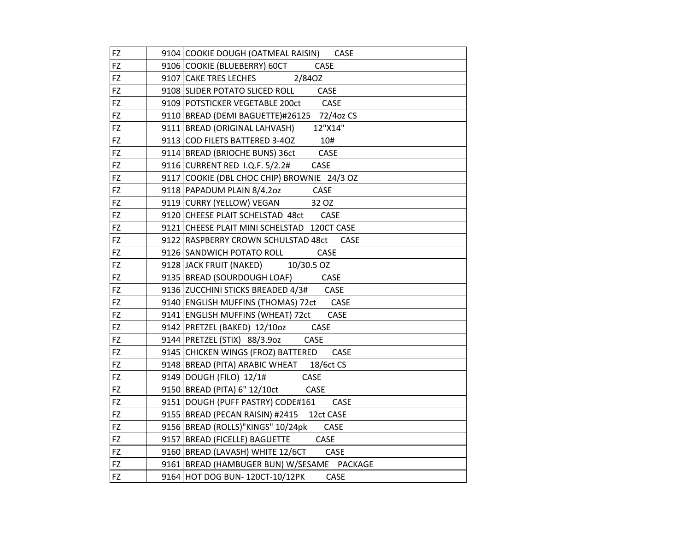| FZ        | 9104 COOKIE DOUGH (OATMEAL RAISIN) CASE            |
|-----------|----------------------------------------------------|
| FZ        | 9106 COOKIE (BLUEBERRY) 60CT<br><b>CASE</b>        |
| FZ        | 9107 CAKE TRES LECHES<br>2/840Z                    |
| FZ        | 9108 SLIDER POTATO SLICED ROLL CASE                |
| FZ        | 9109 POTSTICKER VEGETABLE 200ct CASE               |
| FZ        | 9110 BREAD (DEMI BAGUETTE)#26125 72/4oz CS         |
| FZ        | 12"X14"<br>9111 BREAD (ORIGINAL LAHVASH)           |
| FZ        | 9113 COD FILETS BATTERED 3-4OZ<br>10#              |
| FZ        | CASE<br>9114   BREAD (BRIOCHE BUNS) 36ct           |
| FZ        | 9116 CURRENT RED I.Q.F. 5/2.2#<br>CASE             |
| FZ        | 9117 COOKIE (DBL CHOC CHIP) BROWNIE 24/3 OZ        |
| FZ        | 9118 PAPADUM PLAIN 8/4.20Z CASE                    |
| FZ        | 9119 CURRY (YELLOW) VEGAN<br>32 OZ                 |
| FZ        | 9120 CHEESE PLAIT SCHELSTAD 48ct CASE              |
| FZ        | 9121 CHEESE PLAIT MINI SCHELSTAD 120CT CASE        |
| FZ        | 9122 RASPBERRY CROWN SCHULSTAD 48ct<br><b>CASE</b> |
| FZ        | 9126 SANDWICH POTATO ROLL CASE                     |
| FZ        | 9128 JACK FRUIT (NAKED) 10/30.5 OZ                 |
| FZ        | 9135 BREAD (SOURDOUGH LOAF) CASE                   |
| FZ        | CASE<br>9136   ZUCCHINI STICKS BREADED 4/3#        |
| FZ        | 9140 ENGLISH MUFFINS (THOMAS) 72ct CASE            |
| FZ        | 9141 ENGLISH MUFFINS (WHEAT) 72ct<br>CASE          |
| FZ        | 9142   PRETZEL (BAKED) 12/10oz<br>CASE             |
| FZ        | 9144   PRETZEL (STIX) 88/3.9oz<br>CASE             |
| FZ        | 9145 CHICKEN WINGS (FROZ) BATTERED<br>CASE         |
| FZ        | 9148 BREAD (PITA) ARABIC WHEAT 18/6ct CS           |
| FZ        | CASE<br>9149 DOUGH (FILO) 12/1#                    |
| FZ        | 9150 BREAD (PITA) 6" 12/10ct<br>CASE               |
| FZ        | 9151 DOUGH (PUFF PASTRY) CODE#161<br><b>CASE</b>   |
| FZ        | 9155 BREAD (PECAN RAISIN) #2415 12ct CASE          |
| FZ        | 9156 BREAD (ROLLS)"KINGS" 10/24pk<br>CASE          |
| FZ        | 9157 BREAD (FICELLE) BAGUETTE CASE                 |
| <b>FZ</b> | 9160   BREAD (LAVASH) WHITE 12/6CT<br>CASE         |
| FZ        | 9161 BREAD (HAMBUGER BUN) W/SESAME PACKAGE         |
| FZ        | 9164 HOT DOG BUN- 120CT-10/12PK<br>CASE            |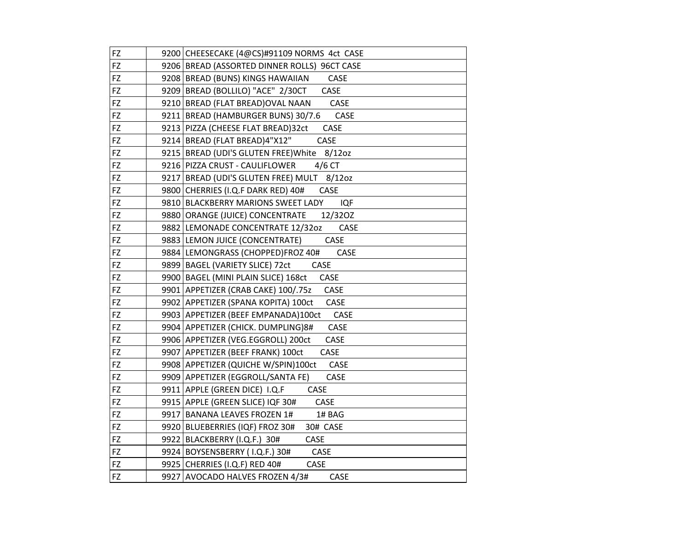| FZ | 9200 CHEESECAKE (4@CS)#91109 NORMS 4ct CASE         |
|----|-----------------------------------------------------|
| FZ | 9206 BREAD (ASSORTED DINNER ROLLS) 96CT CASE        |
| FZ | 9208 BREAD (BUNS) KINGS HAWAIIAN<br>CASE            |
| FZ | 9209 BREAD (BOLLILO) "ACE" 2/30CT<br>CASE           |
| FZ | CASE<br>9210 BREAD (FLAT BREAD) OVAL NAAN           |
| FZ | 9211 BREAD (HAMBURGER BUNS) 30/7.6<br>CASE          |
| FZ | 9213 PIZZA (CHEESE FLAT BREAD) 32ct<br>CASE         |
| FZ | 9214 BREAD (FLAT BREAD)4"X12"<br>CASE               |
| FZ | 9215   BREAD (UDI'S GLUTEN FREE) White<br>$8/12$ oz |
| FZ | 9216 PIZZA CRUST - CAULIFLOWER<br>$4/6$ CT          |
| FZ | 9217 BREAD (UDI'S GLUTEN FREE) MULT 8/12oz          |
| FZ | 9800 CHERRIES (I.Q.F DARK RED) 40#<br>CASE          |
| FZ | <b>IQF</b><br>9810 BLACKBERRY MARIONS SWEET LADY    |
| FZ | 9880 ORANGE (JUICE) CONCENTRATE<br>12/320Z          |
| FZ | 9882 LEMONADE CONCENTRATE 12/320Z<br>CASE           |
| FZ | 9883   LEMON JUICE (CONCENTRATE)<br>CASE            |
| FZ | 9884 LEMONGRASS (CHOPPED)FROZ 40#<br>CASE           |
| FZ | 9899 BAGEL (VARIETY SLICE) 72ct<br>CASE             |
| FZ | 9900 BAGEL (MINI PLAIN SLICE) 168ct<br>CASE         |
| FZ | 9901   APPETIZER (CRAB CAKE) 100/.75z<br>CASE       |
| FZ | 9902   APPETIZER (SPANA KOPITA) 100ct<br>CASE       |
| FZ | 9903 APPETIZER (BEEF EMPANADA)100ct<br>CASE         |
| FZ | 9904   APPETIZER (CHICK. DUMPLING) 8#<br>CASE       |
| FZ | 9906   APPETIZER (VEG.EGGROLL) 200ct<br>CASE        |
| FZ | 9907 APPETIZER (BEEF FRANK) 100ct<br>CASE           |
| FZ | 9908 APPETIZER (QUICHE W/SPIN)100ct<br>CASE         |
| FZ | 9909 APPETIZER (EGGROLL/SANTA FE)<br>CASE           |
| FZ | 9911 APPLE (GREEN DICE) I.Q.F<br>CASE               |
| FZ | 9915 APPLE (GREEN SLICE) IQF 30#<br>CASE            |
| FZ | 9917   BANANA LEAVES FROZEN 1#<br>1# BAG            |
| FZ | 9920 BLUEBERRIES (IQF) FROZ 30#<br>30# CASE         |
| FZ | 9922 BLACKBERRY (I.Q.F.) 30#<br>CASE                |
| FZ | 9924 BOYSENSBERRY (I.Q.F.) 30#<br>CASE              |
| FZ | 9925 CHERRIES (I.Q.F) RED 40#<br>CASE               |
| FZ | 9927 AVOCADO HALVES FROZEN 4/3#<br>CASE             |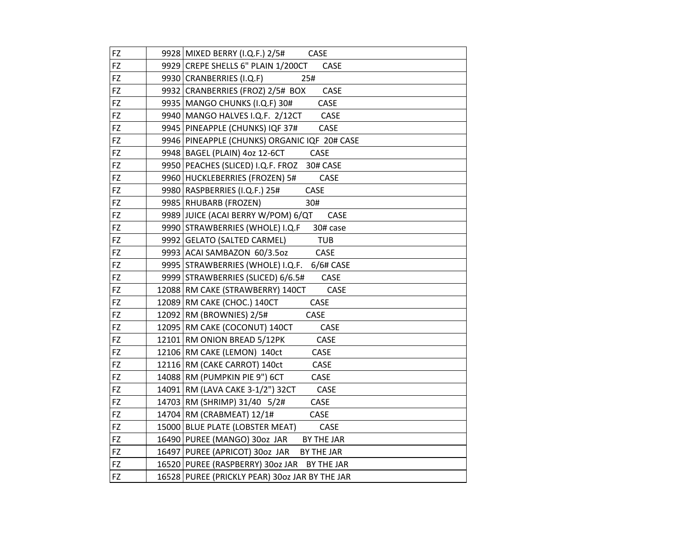| FZ        | 9928   MIXED BERRY (I.Q.F.) 2/5#<br><b>CASE</b> |
|-----------|-------------------------------------------------|
| FZ        | 9929 CREPE SHELLS 6" PLAIN 1/200CT<br>CASE      |
| FZ        | 9930 CRANBERRIES (I.Q.F)<br>25#                 |
| FZ        | 9932 CRANBERRIES (FROZ) 2/5# BOX<br>CASE        |
| FZ        | 9935   MANGO CHUNKS (I.Q.F) 30#<br>CASE         |
| FZ        | CASE<br>9940   MANGO HALVES I.Q.F. 2/12CT       |
| FZ        | 9945 PINEAPPLE (CHUNKS) IQF 37#<br>CASE         |
| FZ        | 9946 PINEAPPLE (CHUNKS) ORGANIC IQF 20# CASE    |
| FZ        | 9948   BAGEL (PLAIN) 4oz 12-6CT<br>CASE         |
| <b>FZ</b> | 9950 PEACHES (SLICED) I.Q.F. FROZ<br>30# CASE   |
| FZ        | 9960 HUCKLEBERRIES (FROZEN) 5#<br>CASE          |
| FZ        | CASE<br>9980   RASPBERRIES (I.Q.F.) 25#         |
| FZ        | 9985   RHUBARB (FROZEN)<br>30#                  |
| FZ        | 9989 JUICE (ACAI BERRY W/POM) 6/QT<br>CASE      |
| FZ        | 9990 STRAWBERRIES (WHOLE) I.Q.F<br>30# case     |
| FZ        | <b>TUB</b><br>9992   GELATO (SALTED CARMEL)     |
| FZ        | 9993 ACAI SAMBAZON 60/3.5oz<br>CASE             |
| FZ        | 9995 STRAWBERRIES (WHOLE) I.Q.F. 6/6# CASE      |
| FZ        | 9999 STRAWBERRIES (SLICED) 6/6.5#<br>CASE       |
| FZ        | CASE<br>12088 RM CAKE (STRAWBERRY) 140CT        |
| <b>FZ</b> | CASE<br>12089 RM CAKE (CHOC.) 140CT             |
| FZ        | 12092   RM (BROWNIES) 2/5#<br>CASE              |
| <b>FZ</b> | 12095   RM CAKE (COCONUT) 140CT<br>CASE         |
| <b>FZ</b> | 12101 RM ONION BREAD 5/12PK<br>CASE             |
| FZ        | 12106 RM CAKE (LEMON) 140ct<br>CASE             |
| FZ        | 12116 RM (CAKE CARROT) 140ct<br>CASE            |
| FZ        | 14088 RM (PUMPKIN PIE 9") 6CT<br>CASE           |
| FZ        | 14091 RM (LAVA CAKE 3-1/2") 32CT<br>CASE        |
| FZ        | CASE<br>14703 RM (SHRIMP) 31/40 5/2#            |
| FZ        | 14704 RM (CRABMEAT) 12/1#<br>CASE               |
| FZ        | 15000 BLUE PLATE (LOBSTER MEAT)<br>CASE         |
| FZ        | 16490 PUREE (MANGO) 30oz JAR BY THE JAR         |
| FZ        | 16497 PUREE (APRICOT) 30oz JAR<br>BY THE JAR    |
| FZ        | 16520 PUREE (RASPBERRY) 30oz JAR BY THE JAR     |
| FZ        | 16528 PUREE (PRICKLY PEAR) 30oz JAR BY THE JAR  |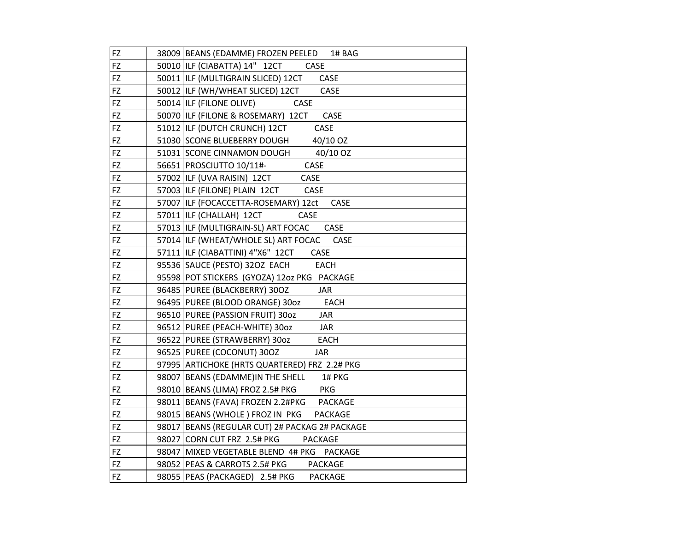| FZ        | 38009 BEANS (EDAMME) FROZEN PEELED 1# BAG           |
|-----------|-----------------------------------------------------|
| <b>FZ</b> | 50010 ILF (CIABATTA) 14" 12CT<br>CASE               |
| FZ        | 50011 ILF (MULTIGRAIN SLICED) 12CT<br>CASE          |
| FZ        | 50012 ILF (WH/WHEAT SLICED) 12CT<br>CASE            |
| FZ        | 50014 ILF (FILONE OLIVE)<br>CASE                    |
| FZ        | 50070 ILF (FILONE & ROSEMARY) 12CT<br>CASE          |
| FZ        | 51012 ILF (DUTCH CRUNCH) 12CT<br>CASE               |
| FZ        | 51030 SCONE BLUEBERRY DOUGH 40/10 OZ                |
| FZ        | 40/10 OZ<br>51031 SCONE CINNAMON DOUGH              |
| FZ        | 56651 PROSCIUTTO 10/11#-<br>CASE                    |
| FZ        | 57002 ILF (UVA RAISIN) 12CT<br>CASE                 |
| FZ        | 57003 ILF (FILONE) PLAIN 12CT<br>CASE               |
| FZ        | 57007 ILF (FOCACCETTA-ROSEMARY) 12ct<br>CASE        |
| FZ        | 57011 ILF (CHALLAH) 12CT<br>CASE                    |
| FZ        | 57013 ILF (MULTIGRAIN-SL) ART FOCAC<br>CASE         |
| FZ        | 57014 ILF (WHEAT/WHOLE SL) ART FOCAC<br>CASE        |
| FZ        | 57111   ILF (CIABATTINI) 4"X6" 12CT<br>CASE         |
| FZ        | 95536 SAUCE (PESTO) 32OZ EACH<br><b>EACH</b>        |
| FZ        | 95598 POT STICKERS (GYOZA) 12oz PKG PACKAGE         |
| FZ        | 96485 PUREE (BLACKBERRY) 300Z<br><b>JAR</b>         |
| FZ        | 96495 PUREE (BLOOD ORANGE) 30oz<br><b>EACH</b>      |
| FZ        | 96510 PUREE (PASSION FRUIT) 30oz<br>JAR             |
| FZ        | 96512 PUREE (PEACH-WHITE) 30oz<br><b>JAR</b>        |
| FZ        | 96522 PUREE (STRAWBERRY) 30oz<br>EACH               |
| FZ        | 96525 PUREE (COCONUT) 300Z<br><b>JAR</b>            |
| FZ        | 97995 ARTICHOKE (HRTS QUARTERED) FRZ 2.2# PKG       |
| FZ        | 98007 BEANS (EDAMME) IN THE SHELL<br>1# PKG         |
| FZ        | 98010 BEANS (LIMA) FROZ 2.5# PKG<br><b>PKG</b>      |
| FZ        | 98011 BEANS (FAVA) FROZEN 2.2#PKG<br><b>PACKAGE</b> |
| FZ        | 98015   BEANS (WHOLE ) FROZ IN PKG<br>PACKAGE       |
| <b>FZ</b> | 98017 BEANS (REGULAR CUT) 2# PACKAG 2# PACKAGE      |
| FZ        | 98027 CORN CUT FRZ 2.5# PKG<br>PACKAGE              |
| FZ        | 98047 MIXED VEGETABLE BLEND 4# PKG PACKAGE          |
| FZ        | 98052 PEAS & CARROTS 2.5# PKG<br><b>PACKAGE</b>     |
| FZ        | 98055   PEAS (PACKAGED) 2.5# PKG<br><b>PACKAGE</b>  |